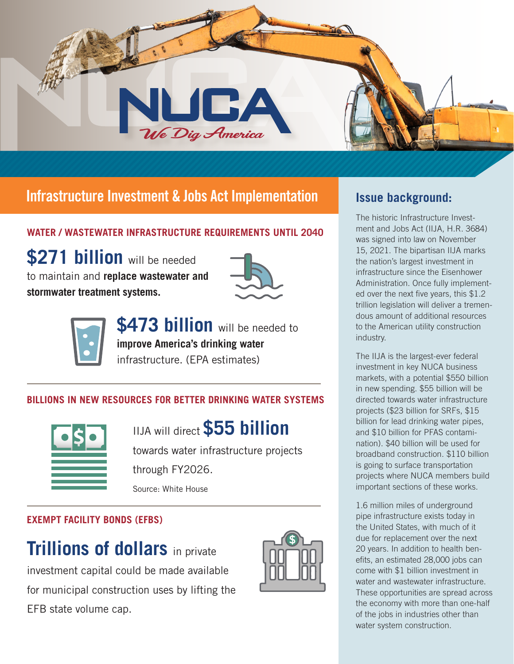

# **Infrastructure Investment & Jobs Act Implementation | Issue background:**

### **WATER / WASTEWATER INFRASTRUCTURE REQUIREMENTS UNTIL 2040**

**\$271 billion** will be needed to maintain and **replace wastewater and stormwater treatment systems.**





**\$473 billion** will be needed to **improve America's drinking water**  infrastructure. (EPA estimates)

### **BILLIONS IN NEW RESOURCES FOR BETTER DRINKING WATER SYSTEMS**



IIJA will direct **\$55 billion** 

towards water infrastructure projects through FY2026. Source: White House

### **EXEMPT FACILITY BONDS (EFBS)**

**Trillions of dollars** in private investment capital could be made available for municipal construction uses by lifting the EFB state volume cap.



The historic Infrastructure Investment and Jobs Act (IIJA, H.R. 3684) was signed into law on November 15, 2021. The bipartisan IIJA marks the nation's largest investment in infrastructure since the Eisenhower Administration. Once fully implemented over the next five years, this \$1.2 trillion legislation will deliver a tremendous amount of additional resources to the American utility construction industry.

The IIJA is the largest-ever federal investment in key NUCA business markets, with a potential \$550 billion in new spending. \$55 billion will be directed towards water infrastructure projects (\$23 billion for SRFs, \$15 billion for lead drinking water pipes, and \$10 billion for PFAS contamination). \$40 billion will be used for broadband construction. \$110 billion is going to surface transportation projects where NUCA members build important sections of these works.

1.6 million miles of underground pipe infrastructure exists today in the United States, with much of it due for replacement over the next 20 years. In addition to health benefits, an estimated 28,000 jobs can come with \$1 billion investment in water and wastewater infrastructure. These opportunities are spread across the economy with more than one-half of the jobs in industries other than water system construction.